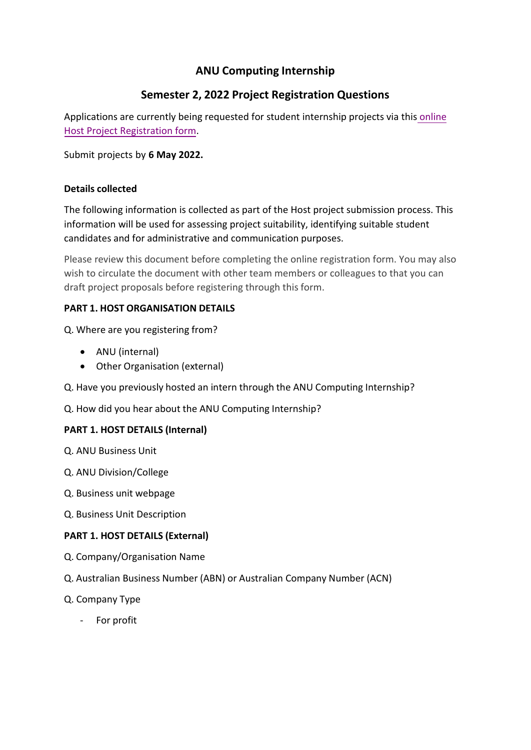# **ANU Computing Internship**

# **Semester 2, 2022 Project Registration Questions**

Applications are currently being requested for student internship projects via this [online](https://anu.au1.qualtrics.com/jfe/form/SV_eE6ngJqRuHOlXWm) [Host Project Registration form.](https://anu.au1.qualtrics.com/jfe/form/SV_eE6ngJqRuHOlXWm)

Submit projects by **6 May 2022.** 

## **Details collected**

The following information is collected as part of the Host project submission process. This information will be used for assessing project suitability, identifying suitable student candidates and for administrative and communication purposes.

Please review this document before completing the online registration form. You may also wish to circulate the document with other team members or colleagues to that you can draft project proposals before registering through this form.

## **PART 1. HOST ORGANISATION DETAILS**

Q. Where are you registering from?

- ANU (internal)
- Other Organisation (external)
- Q. Have you previously hosted an intern through the ANU Computing Internship?

Q. How did you hear about the ANU Computing Internship?

# **PART 1. HOST DETAILS (Internal)**

- Q. ANU Business Unit
- Q. ANU Division/College
- Q. Business unit webpage
- Q. Business Unit Description

# **PART 1. HOST DETAILS (External)**

- Q. Company/Organisation Name
- Q. Australian Business Number (ABN) or Australian Company Number (ACN)
- Q. Company Type
	- For profit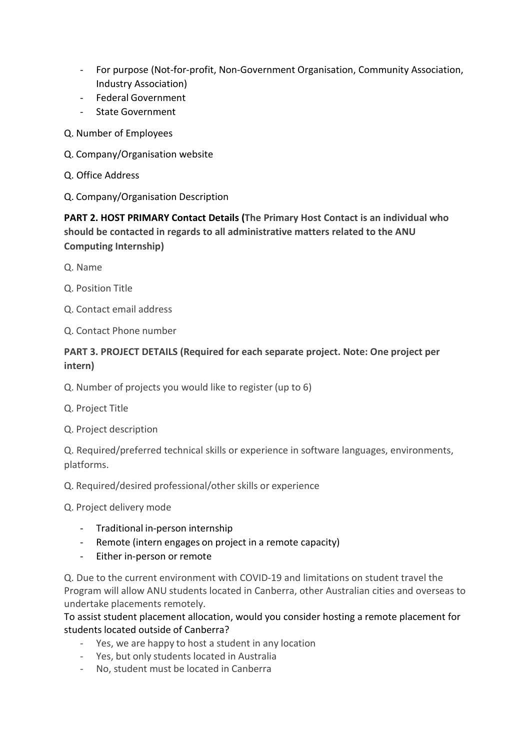- For purpose (Not-for-profit, Non-Government Organisation, Community Association, Industry Association)
- Federal Government
- State Government
- Q. Number of Employees
- Q. Company/Organisation website
- Q. Office Address
- Q. Company/Organisation Description

**PART 2. HOST PRIMARY Contact Details (The Primary Host Contact is an individual who should be contacted in regards to all administrative matters related to the ANU Computing Internship)**

- Q. Name
- Q. Position Title
- Q. Contact email address
- Q. Contact Phone number

### **PART 3. PROJECT DETAILS (Required for each separate project. Note: One project per intern)**

- Q. Number of projects you would like to register (up to 6)
- Q. Project Title
- Q. Project description

Q. Required/preferred technical skills or experience in software languages, environments, platforms.

Q. Required/desired professional/other skills or experience

Q. Project delivery mode

- Traditional in-person internship
- Remote (intern engages on project in a remote capacity)
- Either in-person or remote

Q. Due to the current environment with COVID-19 and limitations on student travel the Program will allow ANU students located in Canberra, other Australian cities and overseas to undertake placements remotely.

To assist student placement allocation, would you consider hosting a remote placement for students located outside of Canberra?

- Yes, we are happy to host a student in any location
- Yes, but only students located in Australia
- No, student must be located in Canberra